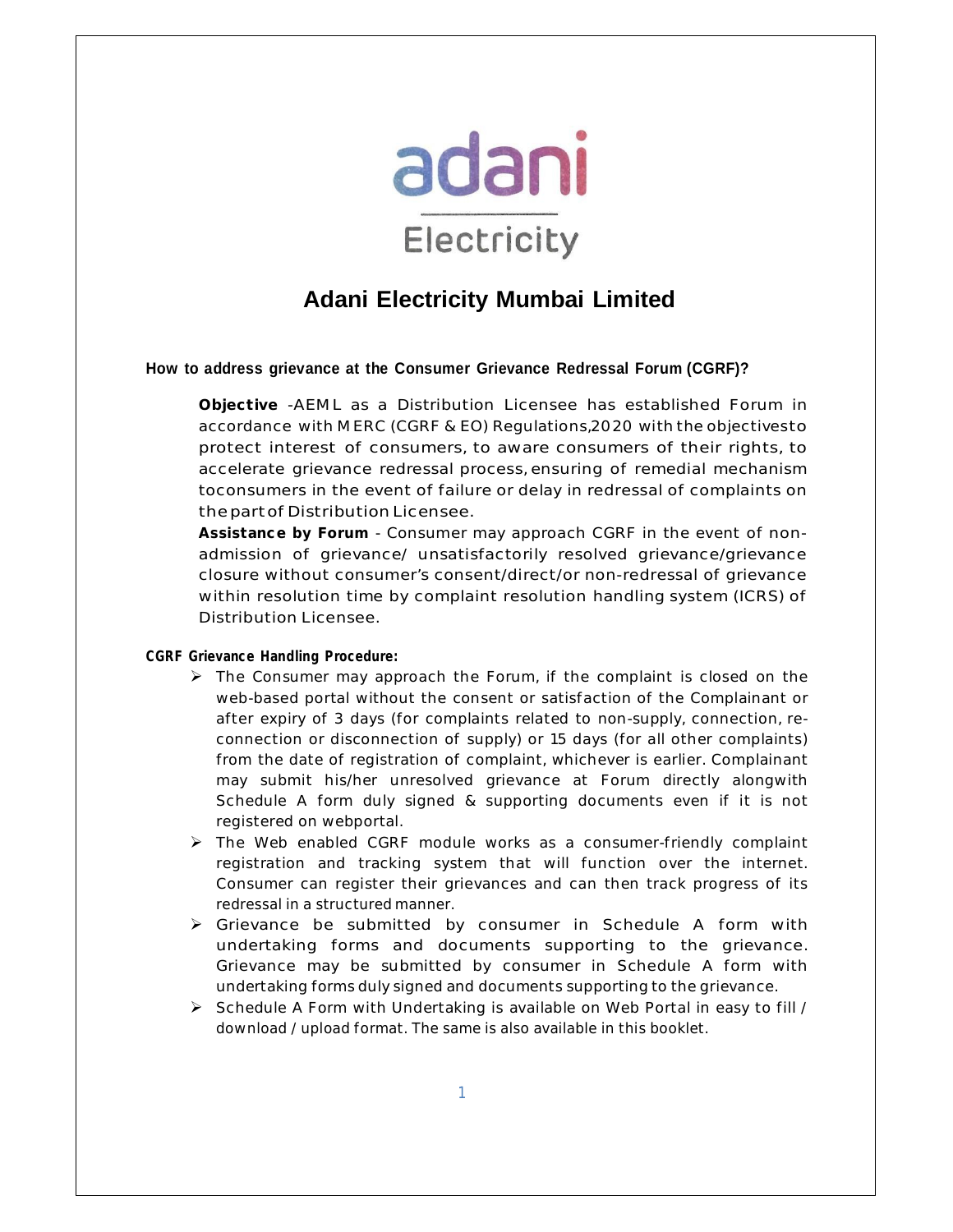

# **Adani Electricity Mumbai Limited**

#### **How to address grievance at the Consumer Grievance Redressal Forum (CGRF)?**

**Objective** -AEML as a Distribution Licensee has established Forum in accordance with MERC (CGRF & EO) Regulations,2020 with the objectivesto protect interest of consumers, to aware consumers of their rights, to accelerate grievance redressal process, ensuring of remedial mechanism toconsumers in the event of failure or delay in redressal of complaints on the part of Distribution Licensee.

**Assistance by Forum** - Consumer may approach CGRF in the event of nonadmission of grievance/ unsatisfactorily resolved grievance/grievance closure without consumer's consent/direct/or non-redressal of grievance within resolution time by complaint resolution handling system (ICRS) of Distribution Licensee.

#### **CGRF Grievance Handling Procedure:**

- $\triangleright$  The Consumer may approach the Forum, if the complaint is closed on the web-based portal without the consent or satisfaction of the Complainant or after expiry of 3 days (for complaints related to non-supply, connection, reconnection or disconnection of supply) or 15 days (for all other complaints) from the date of registration of complaint, whichever is earlier. Complainant may submit his/her unresolved grievance at Forum directly alongwith Schedule A form duly signed & supporting documents even if it is not registered on webportal.
- $\triangleright$  The Web enabled CGRF module works as a consumer-friendly complaint registration and tracking system that will function over the internet. Consumer can register their grievances and can then track progress of its redressal in a structured manner.
- $\triangleright$  Grievance be submitted by consumer in Schedule A form with undertaking forms and documents supporting to the grievance. Grievance may be submitted by consumer in Schedule A form with undertaking forms duly signed and documents supporting to the grievance.
- $\triangleright$  Schedule A Form with Undertaking is available on Web Portal in easy to fill / download / upload format. The same is also available in this booklet.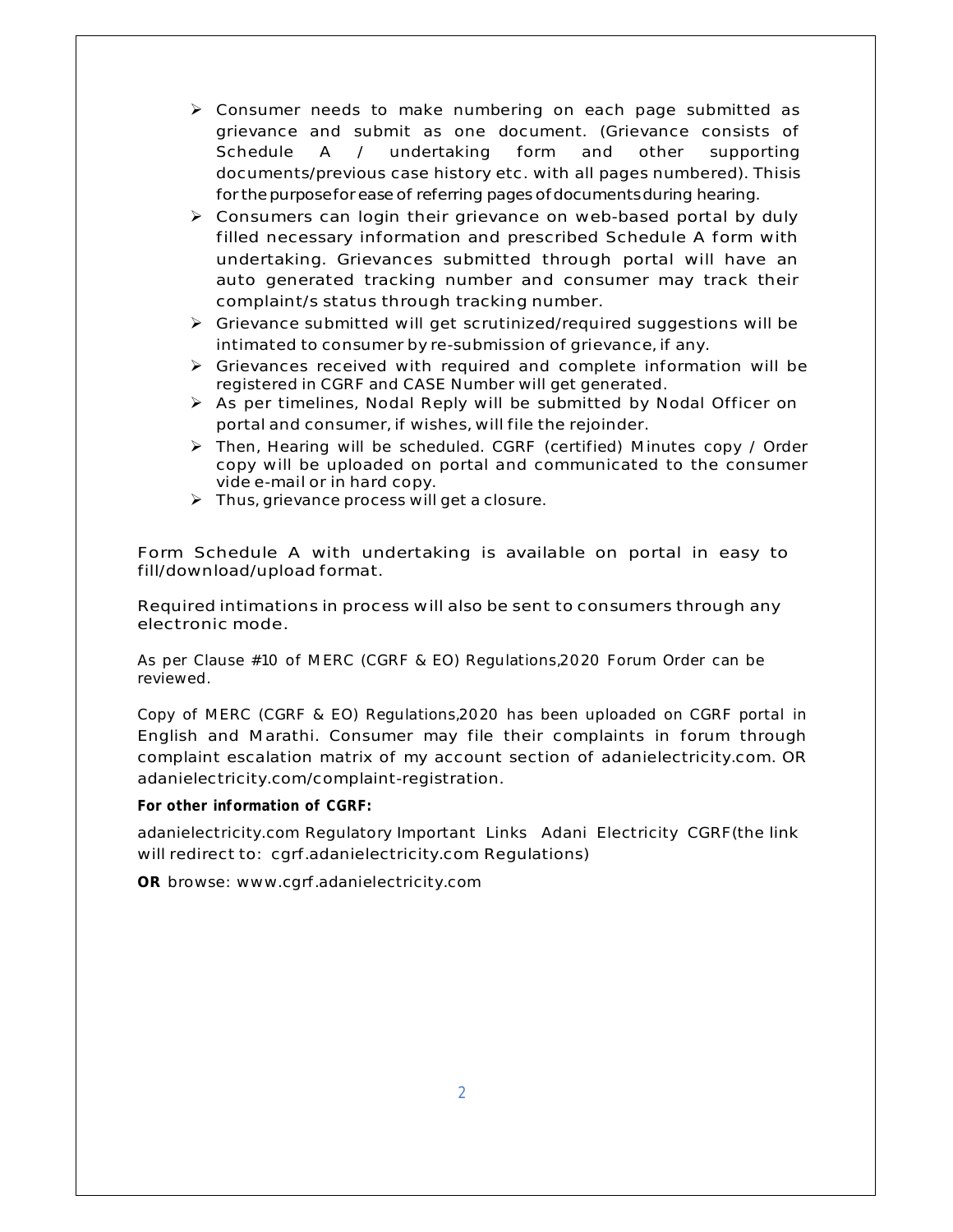- $\triangleright$  Consumer needs to make numbering on each page submitted as grievance and submit as one document. (Grievance consists of Schedule A / undertaking form and other supporting documents/previous case history etc. with all pages numbered). Thisis for the purpose for ease of referring pages of documents during hearing.
- $\triangleright$  Consumers can login their grievance on web-based portal by duly filled necessary information and prescribed Schedule A form with undertaking. Grievances submitted through portal will have an auto generated tracking number and consumer may track their complaint/s status through tracking number.
- $\triangleright$  Grievance submitted will get scrutinized/required suggestions will be intimated to consumer by re-submission of grievance, if any.
- $\triangleright$  Grievances received with required and complete information will be registered in CGRF and CASE Number will get generated.
- $\triangleright$  As per timelines, Nodal Reply will be submitted by Nodal Officer on portal and consumer, if wishes, will file the rejoinder.
- Then, Hearing will be scheduled. CGRF (certified) Minutes copy / Order copy will be uploaded on portal and communicated to the consumer vide e-mail or in hard copy.
- $\triangleright$  Thus, grievance process will get a closure.

Form Schedule A with undertaking is available on portal in easy to fill/download/upload format.

Required intimations in process will also be sent to consumers through any electronic mode.

As per Clause #10 of MERC (CGRF & EO) Regulations,2020 Forum Order can be reviewed.

Copy of MERC (CGRF & EO) Regulations,2020 has been uploaded on CGRF portal in English and Marathi. Consumer may file their complaints in forum through complaint escalation matrix of my account section of adanielectricity.com. OR adanielectricity.com/complaint-registration.

**For other information of CGRF:**

adanielectricity.com Regulatory Important Links Adani Electricity CGRF(the link will redirect to: cgrf.adanielectricity.com Regulations)

**OR** browse: www.cgrf.adanielectricity.com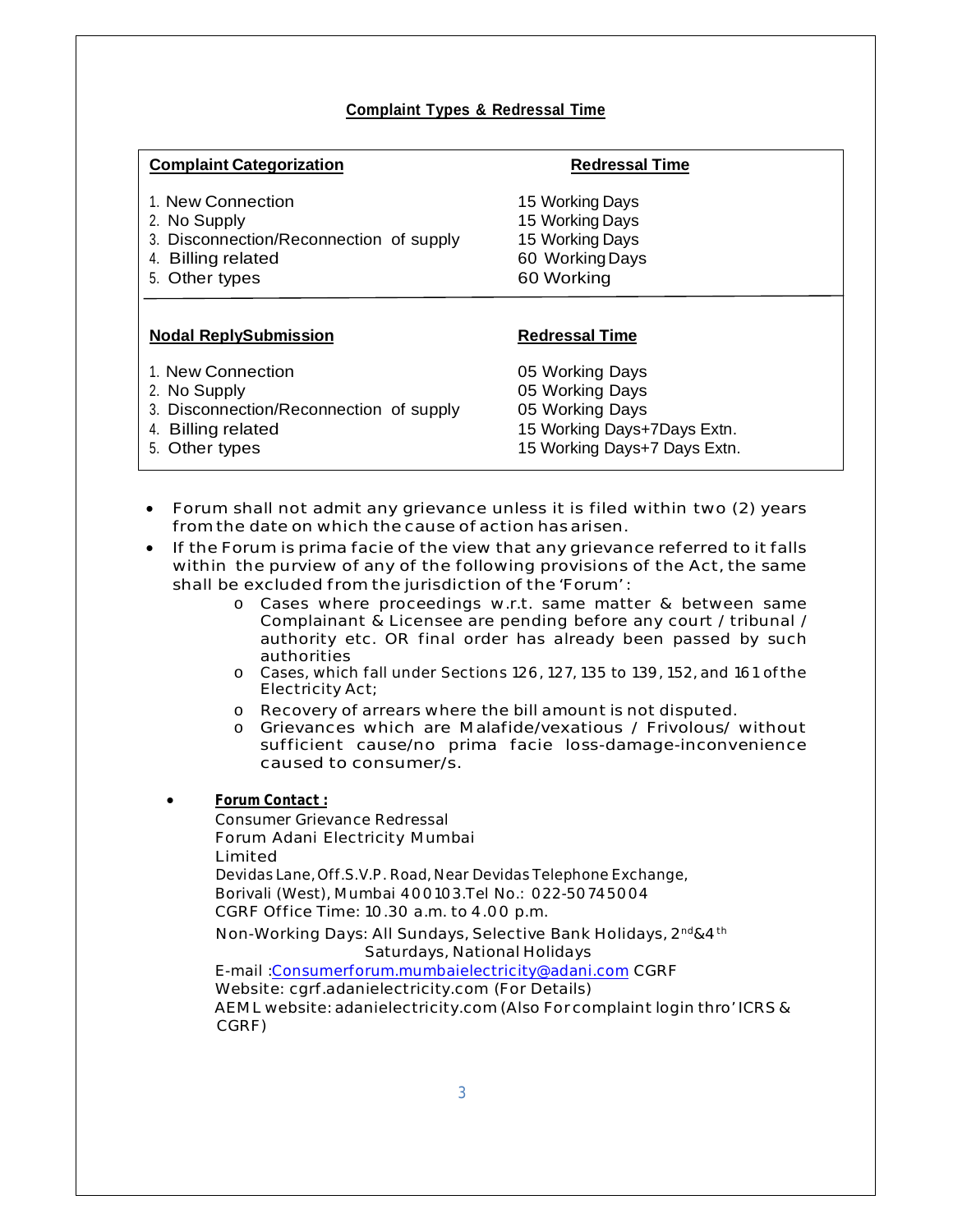## **Complaint Types & Redressal Time**

| <b>Complaint Categorization</b>                                                                                                | <b>Redressal Time</b>                                                                                                |  |
|--------------------------------------------------------------------------------------------------------------------------------|----------------------------------------------------------------------------------------------------------------------|--|
| 1. New Connection<br>2. No Supply<br>3. Disconnection/Reconnection of supply<br><b>Billing related</b><br>4.<br>5. Other types | 15 Working Days<br>15 Working Days<br>15 Working Days<br>60 Working Days<br>60 Working                               |  |
| <b>Nodal ReplySubmission</b>                                                                                                   | <b>Redressal Time</b>                                                                                                |  |
| 1. New Connection<br>2. No Supply<br>3. Disconnection/Reconnection of supply<br><b>Billing related</b><br>4.<br>5. Other types | 05 Working Days<br>05 Working Days<br>05 Working Days<br>15 Working Days+7Days Extn.<br>15 Working Days+7 Days Extn. |  |

- Forum shall not admit any grievance unless it is filed within two (2) years from the date on which the cause ofaction hasarisen.
- If the Forum is prima facie of the view that any grievance referred to it falls within the purview of any of the following provisions of the Act, the same shall be excluded from the jurisdiction of the 'Forum' :
	- o Cases where proceedings w.r.t. same matter & between same Complainant & Licensee are pending before any court / tribunal / authority etc. OR final order has already been passed by such authorities
	- o Cases, which fall under Sections 126, 127, 135 to 139, 152, and 161 ofthe Electricity Act;
	- o Recovery of arrears where the bill amount is not disputed.
	- o Grievances which are Malafide/vexatious / Frivolous/ without sufficient cause/no prima facie loss-damage-inconvenience caused to consumer/s.
	- **Forum Contact :**

Consumer Grievance Redressal Forum Adani Electricity Mumbai Limited Devidas Lane, Off.S.V.P. Road, Near Devidas Telephone Exchange, Borivali (West), Mumbai 400103.Tel No.: 022-50745004 CGRF Office Time: 10.30 a.m. to 4.00 p.m. Non-Working Days: All Sundays, Selective Bank Holidays, 2<sup>nd</sup>&4<sup>th</sup> Saturdays, National Holidays E-mail :Consumerforum.mumbaielectricity@adani.com CGRF Website: cgrf.adanielectricity.com (For Details) AEML website: adanielectricity.com (Also Forcomplaint login thro' ICRS &

CGRF)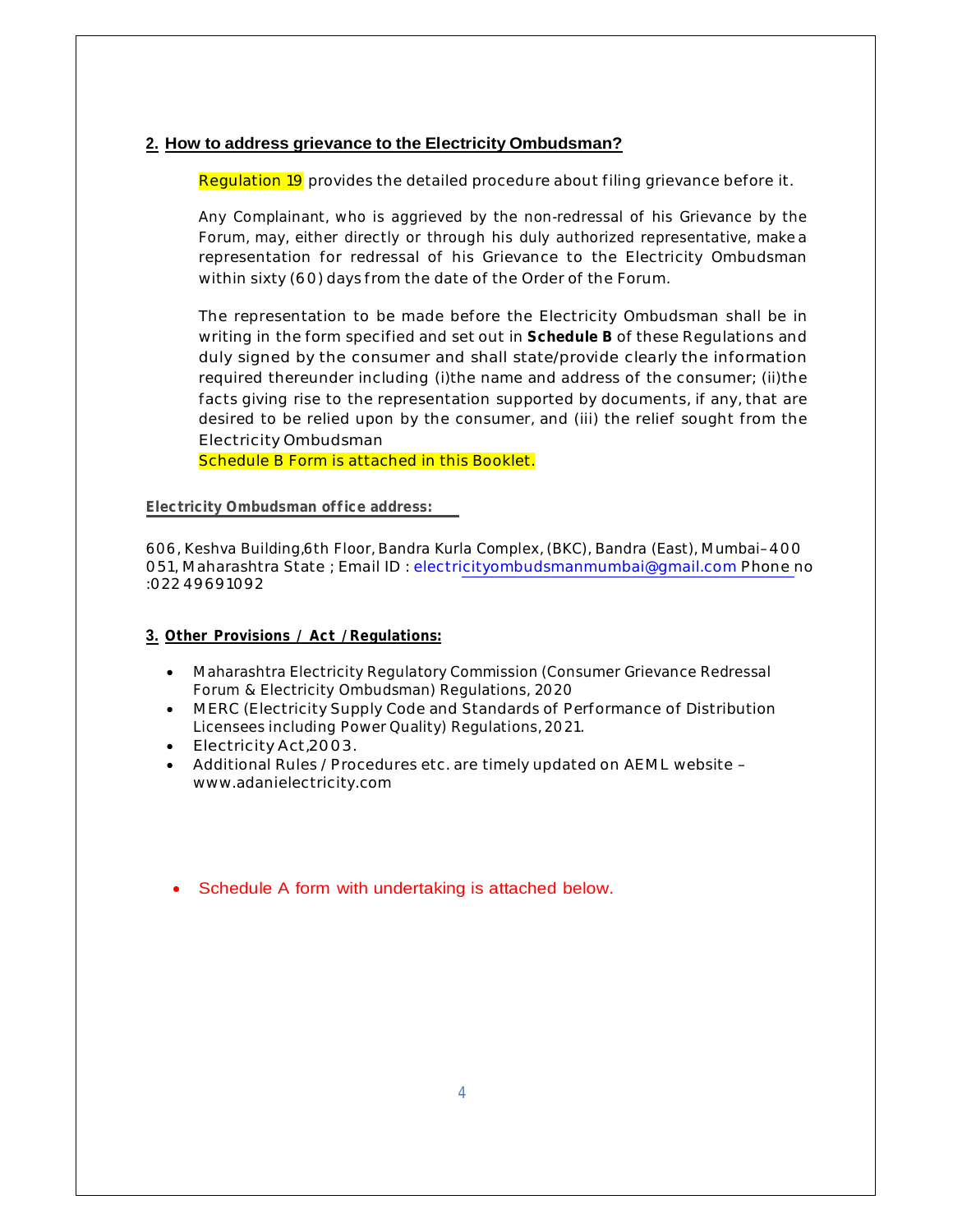#### **2. How to address grievance to the Electricity Ombudsman?**

Regulation 19 provides the detailed procedure about filing grievance before it.

Any Complainant, who is aggrieved by the non-redressal of his Grievance by the Forum, may, either directly or through his duly authorized representative, make a representation for redressal of his Grievance to the Electricity Ombudsman within sixty (60) days from the date of the Order of the Forum.

The representation to be made before the Electricity Ombudsman shall be in writing in the form specified and set out in **Schedule B** of these Regulations and duly signed by the consumer and shall state/provide clearly the information required thereunder including (i)the name and address of the consumer; (ii)the facts giving rise to the representation supported by documents, if any, that are desired to be relied upon by the consumer, and (iii) the relief sought from the Electricity Ombudsman

Schedule B Form is attached in this Booklet.

#### **Electricity Ombudsman office address:**

606, Keshva Building,6th Floor, Bandra Kurla Complex, (BKC), Bandra (East), Mumbai–400 051, Maharashtra State ; Email ID : electricityombudsmanmumbai@gmail.com Phone no :022 49691092

#### **3. Other Provisions / Act /Regulations:**

- Maharashtra Electricity Regulatory Commission (Consumer Grievance Redressal Forum & Electricity Ombudsman) Regulations, 2020
- MERC (Electricity Supply Code and Standards of Performance of Distribution Licensees including Power Quality) Regulations, 2021.
- Electricity Act,2003.
- Additional Rules / Procedures etc. are timely updated on AEML website www.adanielectricity.com
- Schedule A form with undertaking is attached below.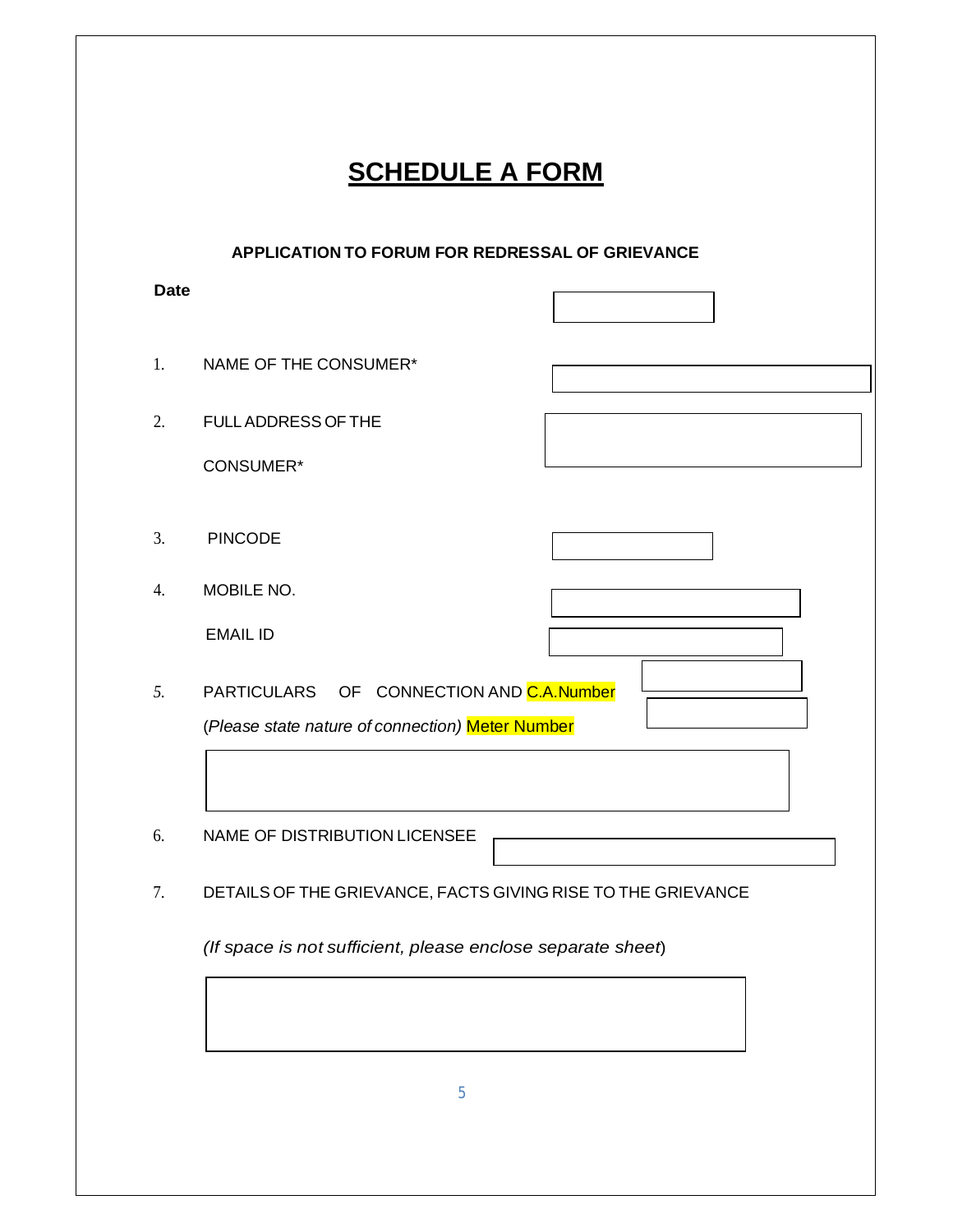| APPLICATION TO FORUM FOR REDRESSAL OF GRIEVANCE |                                                                                               |  |  |  |  |
|-------------------------------------------------|-----------------------------------------------------------------------------------------------|--|--|--|--|
| <b>Date</b>                                     |                                                                                               |  |  |  |  |
|                                                 | NAME OF THE CONSUMER*                                                                         |  |  |  |  |
|                                                 | <b>FULL ADDRESS OF THE</b>                                                                    |  |  |  |  |
|                                                 | <b>CONSUMER*</b>                                                                              |  |  |  |  |
|                                                 | <b>PINCODE</b>                                                                                |  |  |  |  |
|                                                 | MOBILE NO.                                                                                    |  |  |  |  |
|                                                 | <b>EMAIL ID</b>                                                                               |  |  |  |  |
|                                                 | PARTICULARS OF CONNECTION AND C.A. Number<br>(Please state nature of connection) Meter Number |  |  |  |  |
|                                                 | NAME OF DISTRIBUTION LICENSEE                                                                 |  |  |  |  |
|                                                 | DETAILS OF THE GRIEVANCE, FACTS GIVING RISE TO THE GRIEVANCE                                  |  |  |  |  |
|                                                 | (If space is not sufficient, please enclose separate sheet)                                   |  |  |  |  |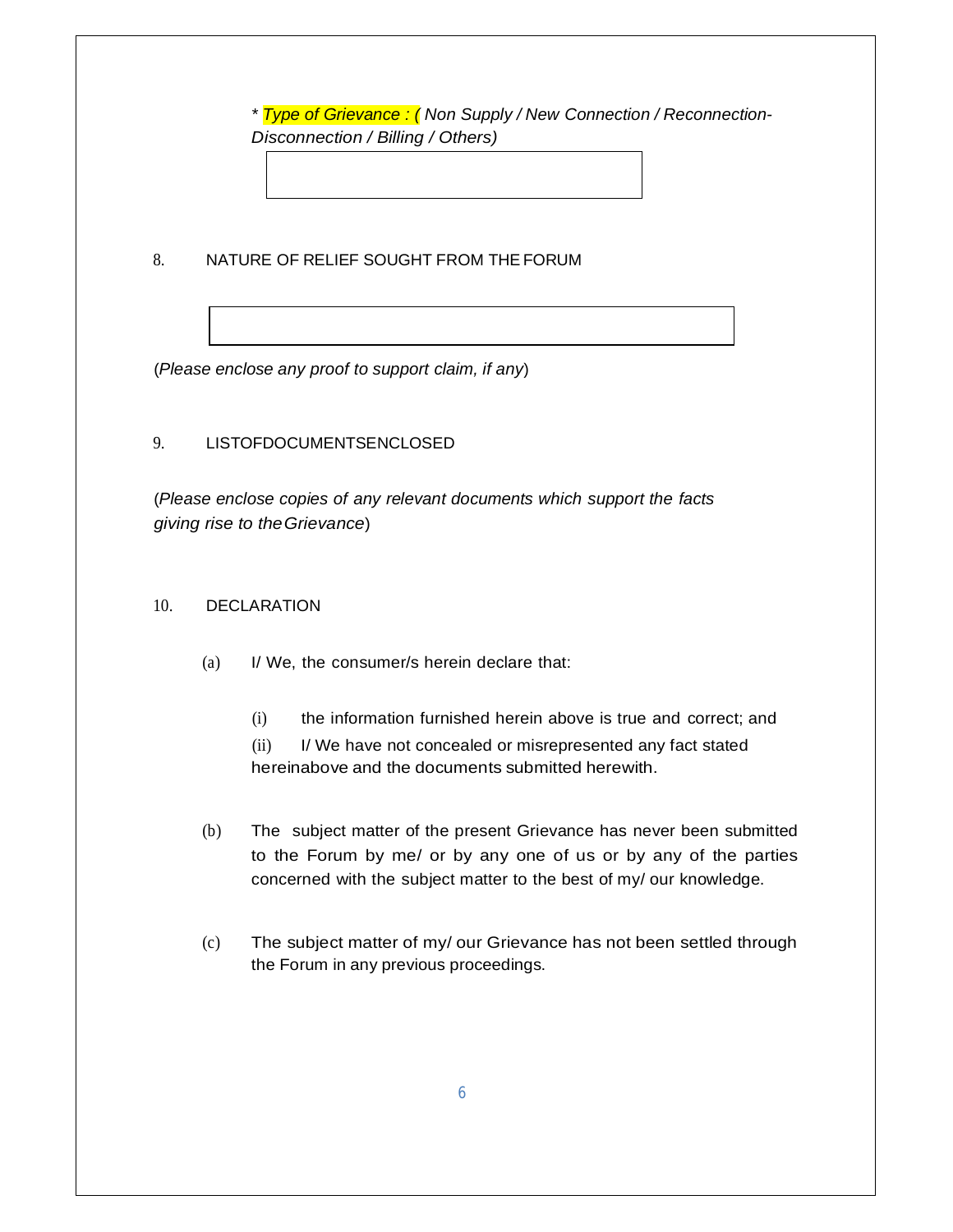*\* Type of Grievance : ( Non Supply / New Connection / Reconnection-Disconnection / Billing / Others)*

8. NATURE OF RELIEF SOUGHT FROM THEFORUM

(*Please enclose any proof to support claim, if any*)

## 9. LISTOFDOCUMENTSENCLOSED

(*Please enclose copies of any relevant documents which support the facts giving rise to theGrievance*)

## 10. DECLARATION

- (a) I/ We, the consumer/s herein declare that:
	- (i) the information furnished herein above is true and correct; and

(ii) I/ We have not concealed or misrepresented any fact stated hereinabove and the documents submitted herewith.

- (b) The subject matter of the present Grievance has never been submitted to the Forum by me/ or by any one of us or by any of the parties concerned with the subject matter to the best of my/ our knowledge.
- (c) The subject matter of my/ our Grievance has not been settled through the Forum in any previous proceedings.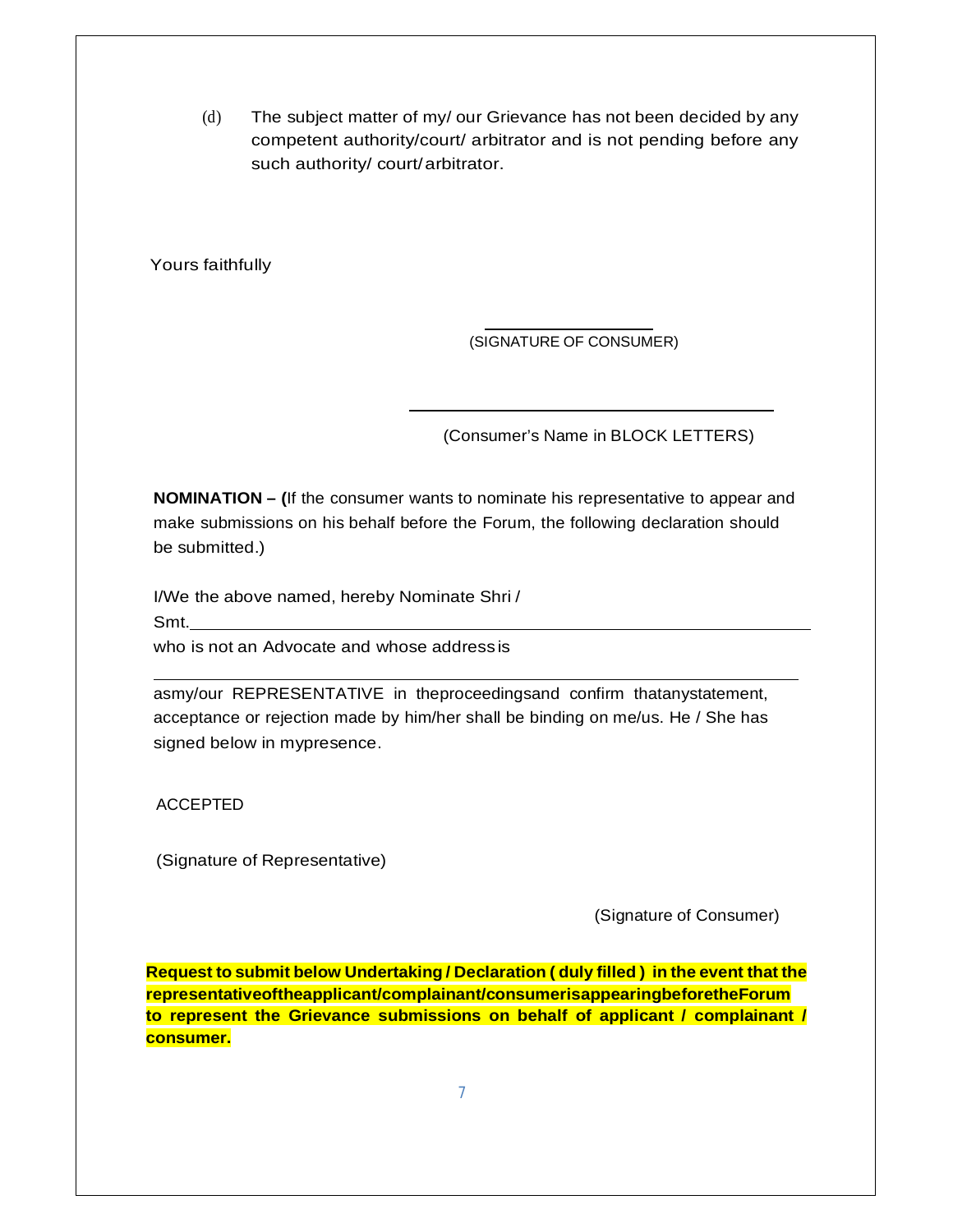(d) The subject matter of my/ our Grievance has not been decided by any competent authority/court/ arbitrator and is not pending before any such authority/ court/arbitrator.

Yours faithfully

(SIGNATURE OF CONSUMER)

(Consumer's Name in BLOCK LETTERS)

**NOMINATION – (**If the consumer wants to nominate his representative to appear and make submissions on his behalf before the Forum, the following declaration should be submitted.)

I/We the above named, hereby Nominate Shri / Smt.

who is not an Advocate and whose address is

asmy/our REPRESENTATIVE in theproceedingsand confirm thatanystatement, acceptance or rejection made by him/her shall be binding on me/us. He / She has signed below in mypresence.

ACCEPTED

(Signature of Representative)

(Signature of Consumer)

**Request to submit below Undertaking / Declaration ( duly filled ) in the event that the representativeoftheapplicant/complainant/consumerisappearingbeforetheForum to represent the Grievance submissions on behalf of applicant / complainant / consumer.**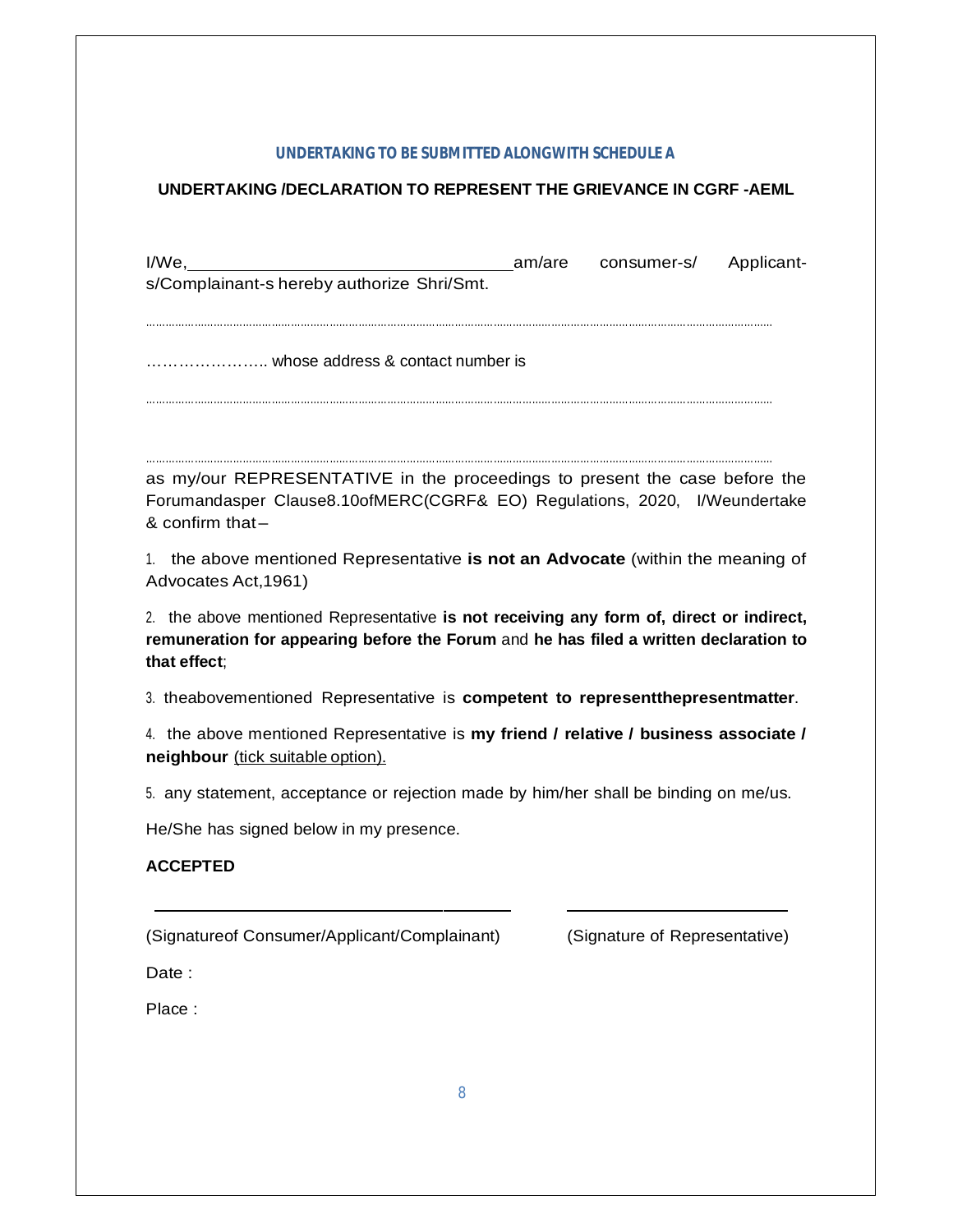#### **UNDERTAKING TO BE SUBMITTED ALONGWITH SCHEDULE A**

## **UNDERTAKING /DECLARATION TO REPRESENT THE GRIEVANCE IN CGRF -AEML**

| I/We, Manuel Applicant-<br>s/Complainant-s hereby authorize Shri/Smt.                                                                                                                            |  |  |  |  |  |  |
|--------------------------------------------------------------------------------------------------------------------------------------------------------------------------------------------------|--|--|--|--|--|--|
|                                                                                                                                                                                                  |  |  |  |  |  |  |
|                                                                                                                                                                                                  |  |  |  |  |  |  |
| as my/our REPRESENTATIVE in the proceedings to present the case before the<br>Forumandasper Clause8.10ofMERC(CGRF& EO) Regulations, 2020, I/Weundertake<br>& confirm that-                       |  |  |  |  |  |  |
| 1. the above mentioned Representative is not an Advocate (within the meaning of<br>Advocates Act, 1961)                                                                                          |  |  |  |  |  |  |
| 2. the above mentioned Representative is not receiving any form of, direct or indirect,<br>remuneration for appearing before the Forum and he has filed a written declaration to<br>that effect; |  |  |  |  |  |  |
| 3. theabovementioned Representative is competent to representthepresentmatter.                                                                                                                   |  |  |  |  |  |  |
| 4. the above mentioned Representative is my friend / relative / business associate /<br>neighbour (tick suitable option).                                                                        |  |  |  |  |  |  |

5. any statement, acceptance or rejection made by him/her shall be binding on me/us.

He/She has signed below in my presence.

## **ACCEPTED**

(Signatureof Consumer/Applicant/Complainant) (Signature of Representative)

Date :

Place :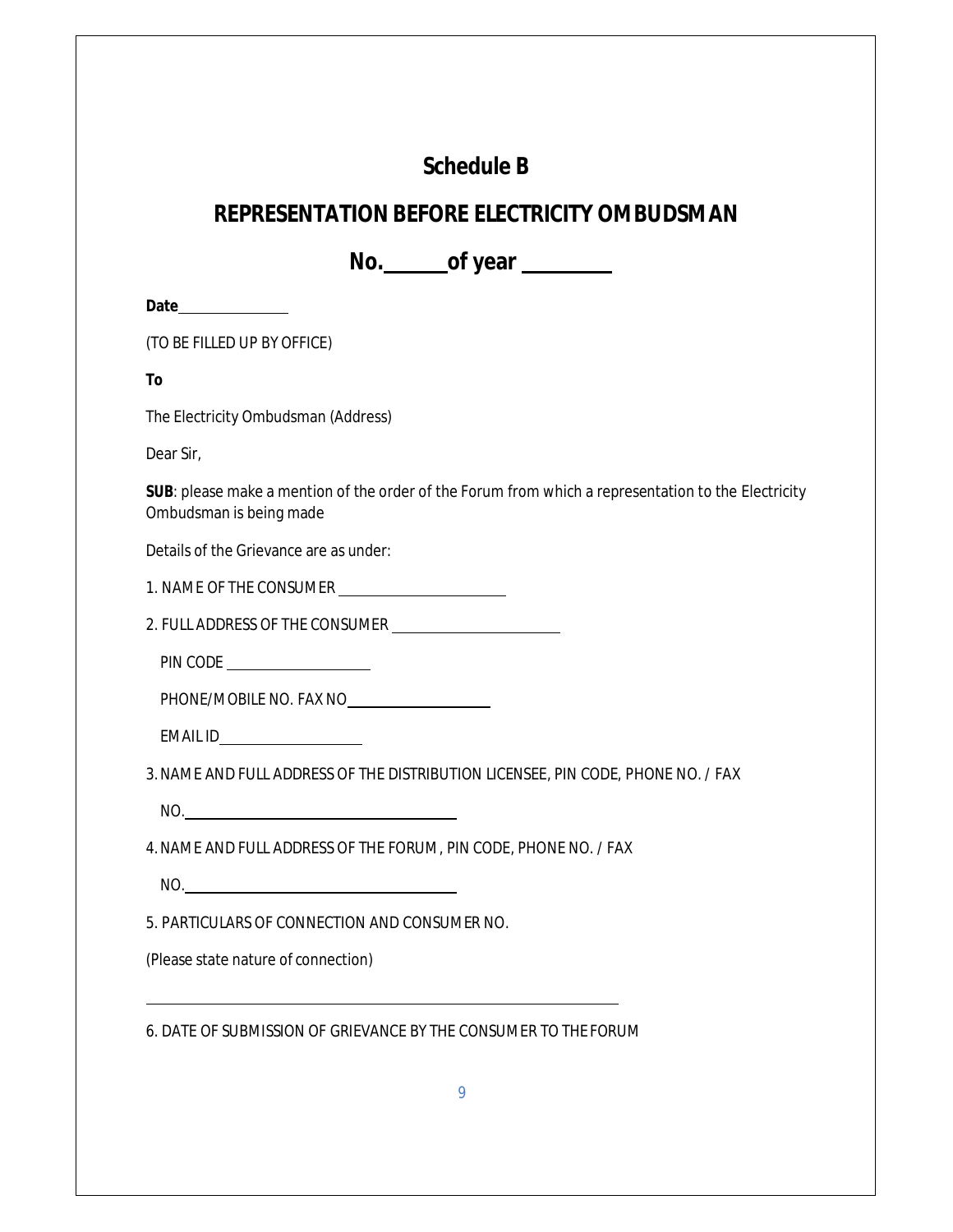# **Schedule B**

## **REPRESENTATION BEFORE ELECTRICITY OMBUDSMAN**

**No. of year** 

**Date**

(TO BE FILLED UP BY OFFICE)

**To**

The Electricity Ombudsman (Address)

Dear Sir,

**SUB**: please make a mention of the order of the Forum from which a representation to the Electricity Ombudsman is being made

Details of the Grievance are as under:

1. NAME OF THE CONSUMER

2. FULL ADDRESS OF THE CONSUMER

PIN CODE

PHONE/MOBILE NO. FAX NO

EMAIL ID

3.NAME AND FULL ADDRESS OF THE DISTRIBUTION LICENSEE, PIN CODE, PHONE NO. / FAX

NO.

4.NAME AND FULL ADDRESS OF THE FORUM, PIN CODE, PHONE NO. / FAX

NO.

5. PARTICULARS OF CONNECTION AND CONSUMER NO.

(Please state nature of connection)

6. DATE OF SUBMISSION OF GRIEVANCE BY THE CONSUMER TO THE FORUM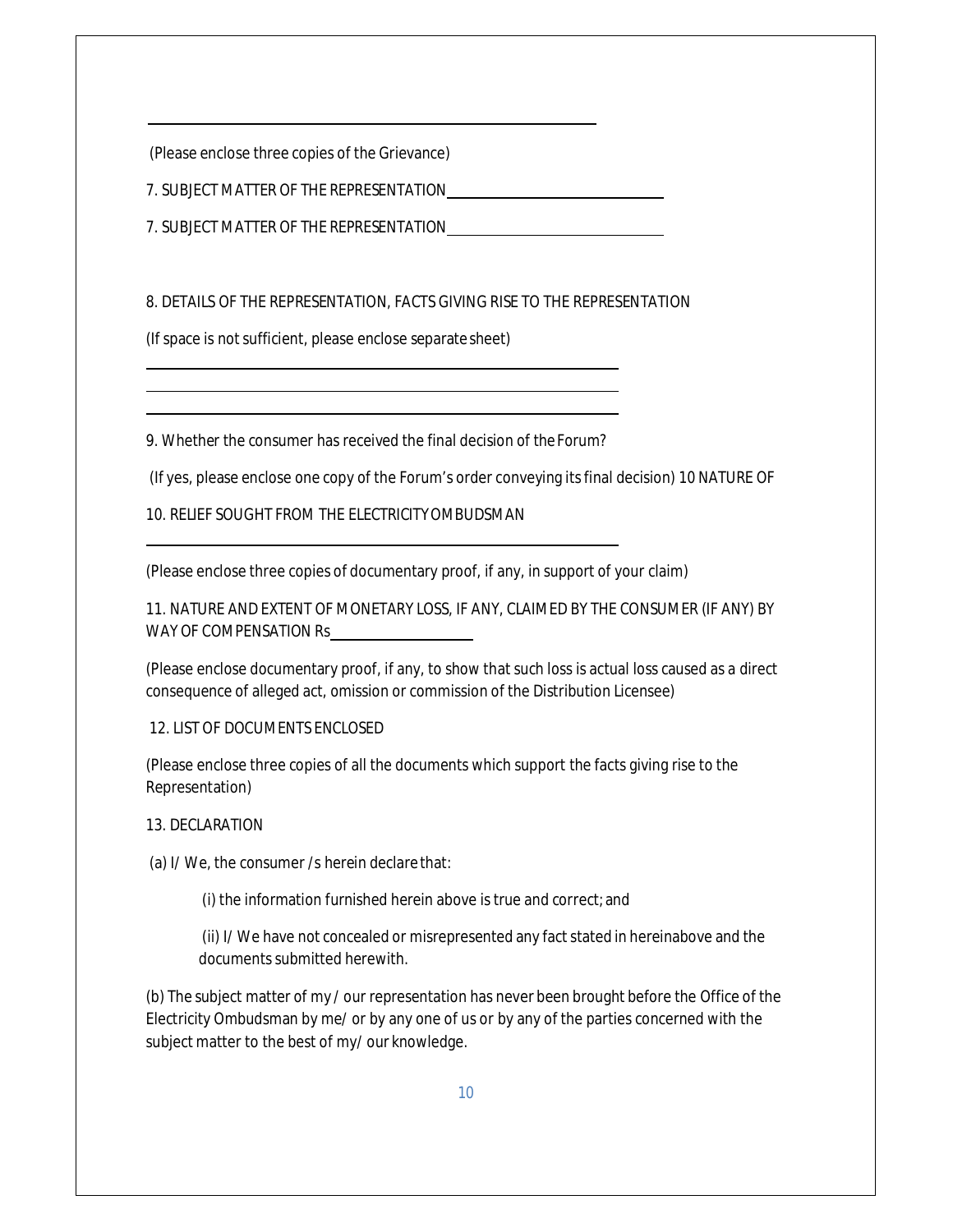(Please enclose three copies of the Grievance)

7. SUBJECT MATTER OF THE REPRESENTATION

7. SUBJECT MATTER OF THE REPRESENTATION

8. DETAILS OF THE REPRESENTATION, FACTS GIVING RISE TO THE REPRESENTATION

(If space is not sufficient, please enclose separate sheet)

9. Whether the consumer has received the final decision of the Forum?

(If yes, please enclose one copy of the Forum's order conveying itsfinal decision) 10 NATURE OF

10. RELIEF SOUGHT FROM THE ELECTRICITYOMBUDSMAN

(Please enclose three copies of documentary proof, if any, in support of your claim)

11. NATURE AND EXTENT OF MONETARY LOSS, IF ANY, CLAIMED BY THE CONSUMER (IF ANY) BY WAY OF COMPENSATION Rs

(Please enclose documentary proof, if any, to show that such loss is actual loss caused as a direct consequence of alleged act, omission or commission of the Distribution Licensee)

12. LIST OF DOCUMENTS ENCLOSED

(Please enclose three copies of all the documents which support the facts giving rise to the Representation)

13. DECLARATION

(a) I/ We, the consumer /s herein declare that:

(i) the information furnished herein above is true and correct; and

(ii) I/ We have not concealed or misrepresented any fact stated in hereinabove and the documents submitted herewith.

(b) The subject matter of my / our representation has never been brought before the Office of the Electricity Ombudsman by me/ or by any one of us or by any of the parties concerned with the subject matter to the best of my/ our knowledge.